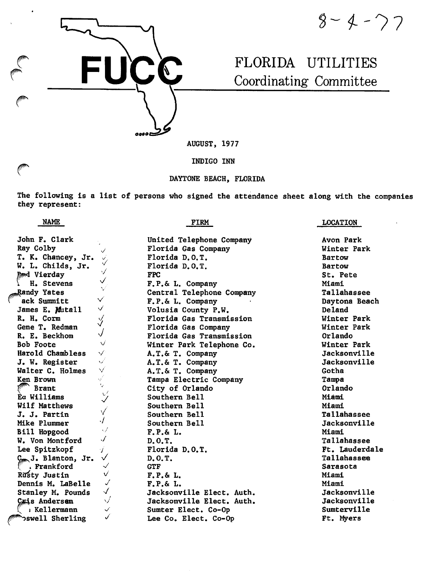$8 - 4 - 77$ 

# FLORIDA UTILITIES Coordinating Committee

AUGUST, 1977

**FUCC** 

ODOOE

INDIGO INN

# DAYTONE BEACH, FLORIDA

The following is a list of persons who signed the attendance sheet along with the companies they represent:

| NAME                                          | FIRM                      | <b>LOCATION</b>     |
|-----------------------------------------------|---------------------------|---------------------|
| John F. Clark                                 | United Telephone Company  | Avon Park           |
| Ray Colby                                     | Florida Gas Company       | Winter Park         |
| T. K. Chancey, Jr.<br>$\checkmark$            | Florida D.O.T.            | Bartow              |
| W. L. Childs, Jr.                             | Florida D.O.T.            | Bartow              |
| $\checkmark$<br>and Vierday                   | <b>FPC</b>                | St. Pete            |
| ✓<br>H. Stevens                               | F.P.& L. Company          | Miami               |
| $\checkmark$<br>$R$ andy Yates                | Central Telephone Company | Tallahassee         |
| $\checkmark$<br>ack Summitt                   | F.P.& L. Company          | Daytona Beach       |
| $\checkmark$<br>James E. Mutall               | Volusia County P.W.       | Deland              |
| R. H. Corm<br>$\sqrt[3]{}$                    | Florida Gas Transmission  | Winter Park         |
| Gene T. Redman                                | Florida Gas Company       | Winter Park         |
| $\bigvee$<br>R. E. Beckhom                    | Florida Gas Transmission  | Orlando             |
| $\checkmark$<br><b>Bob Foote</b>              | Winter Park Telephone Co. | Winter Park         |
| $\checkmark$<br>Harold Chambless              | A.T.& T. Company          | Jacksonville        |
| $\checkmark$<br>J. W. Register                | A.T.& T. Company          | Jacksonville        |
| $\checkmark$<br>Walter C. Holmes              | A.T.& T. Company          | Gotha               |
| $\sqrt{ }$<br>Ken Brown                       | Tampa Electric Company    | Tampa               |
| Ų.<br><b>Brant</b>                            | City of Orlando           | Orlando             |
| $\mathcal{L}'$<br>Ea Williams<br>$\checkmark$ | Southern Bell             | Miami               |
| Wilf Matthews                                 | Southern Bell             | Miami               |
| V<br>J. J. Partin                             | Southern Bell             | Tallahassee         |
| $\cdot$ /<br>Mike Plummer                     | Southern Bell             | Jacksonville        |
| $\sqrt{}$<br>Bill Hopgood                     | F.P.& L.                  | Miami               |
| $\checkmark$<br>W. Von Montford               | D.0.T.                    | Tallahassee         |
| Lee Spitzkopf<br>Í                            | Florida D.O.T.            | Ft. Lauderdale      |
| Com J. Blanton, Jr.<br>$\checkmark$           | D.O.T.                    | Tallahassee         |
| . Frankford<br>$\checkmark$                   | <b>GTF</b>                | Sarasota            |
| v<br>Rusty Justin                             | F.P.& L.                  | Miami               |
| Dennis M. LaBelle<br>✓                        | F.P.& L.                  | Miami               |
| $\sqrt{2}$<br>Stanley M. Pounds               | Jacksonville Elect. Auth. | Jacksonville        |
| $\sqrt{}$<br>Cais Andersen                    | Jacksonville Elect. Auth. | <b>Jacksonville</b> |
| Kellermann (<br>$\checkmark$                  | Sumter Elect. Co-Op       | Sumterville         |
| ✓<br>proswell Sherling                        | Lee Co. Elect. Co-Op      | Ft. Myers           |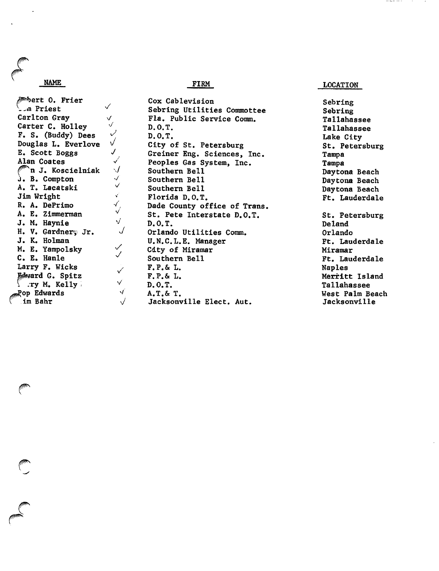# NAME

/^^ert 0. Frier  $\checkmark$ ^--in Priest Carlton Gray V '/ Carter C. Holley  $\mathcal V$ F. S. (Buddy) Dees  $\checkmark$ Douglas L, Everlove E. Scott Boggs Alan Coates f^n J. Koscielniak  $j. B. Compton$ A. T. Lacatski Jim Wright R. A. DePrimo A. E. Zimmerman J. M. Haynie H. V. Gardnery Jr. J. K. Holman M. E. Yampolsky C. E. Hanle Larry F. Wicks Mward G. Spitz  $\int$  .ry M. Kelly  $\int$ ^op Edwards im Bahr

 $\overline{\mathcal{J}}$  $\checkmark$  $\sqrt{}$ V v/

> •/  $\checkmark$

 $\mathbf{v}^{t}$ 

 $\sqrt{2}$ 

 $\checkmark$ 

 $\checkmark$  $\checkmark$ 

> $\checkmark$ V y  $\sqrt{}$

# Cox Cablevision Sebring<br>Sebring Utilities Commottee Sebring Sebring Utilities Commottee Fla. Public Service Comm. Tallahassee<br>D.O.T. Tallahassee D.O.T. Tallahassee City of St. Petersburg St. Petersburg Greiner Eng. Sciences, Inc. Tampa Peoples Gas System, Inc. Tampa<br>Southern Bell Dayto Southern Bell Daytona Beach Southern Bell<br>Southern Bell Daytona Beach<br>Daytona Beach Florida D.O.T. Florida D.O.T. Dade County office of Trans. St. Pete Interstate D.O.T. St. Petersburg<br>D.O.T. Deland Orlando Utilities Comm. Orlando U.N.C.L.E. Manager Ft. Lauderdale Cdty of Miramar<br>
Southern Bell<br>
Tr. Lau F.P.& L. Naples F.P. & L. Merritt Island D.O.T.<br>A.T. & T. Tallahassee<br>A.T. & T. Jacksonville Elect. Aut.

FIRM LOCATION

 $- - - - - - - - -$ 

Lake City Daytona Beach Deland Ft. Lauderdale West Palm Beach<br>Jacksonville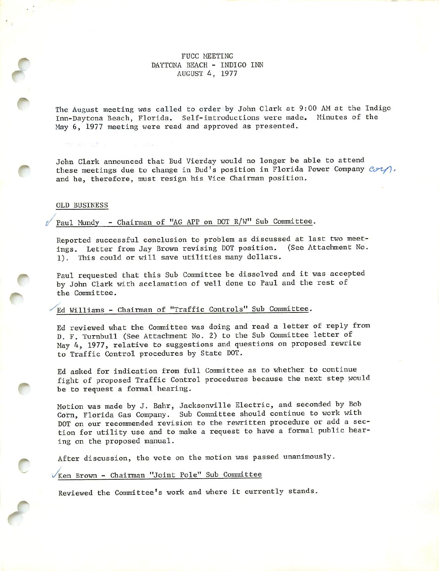# FUCC MEETING DAYTONA BEACH - INDIGO INN AUGUST 4, 1977

The August meeting was called to order by John Clark at 9:00 AM at the Indigo Inn-Daytona Beach, Florida. Self-introductions were made. Minutes of the May 6, 1977 meeting were read and approved as presented.

John Clark announced that Bud Vierday would no longer be able to attend these meetings due to change in Bud's position in Florida Power Company  $\mathcal{C}\mathcal{P}\mathcal{U}$ ), and he, therefore, must resign his Vice Chairman position.

# OLD BUSINESS

The As of The

y

f

**C** 

r

r

# Paul Mundy - Chairman of "AG APP on DOT R/W" Sub Committee.

Reported successful conclusion to problem as discussed at last two meet ings. Letter from Jay Brown revising DOT position. (See Attachment No. 1). This could or will save utilities many dollars.

Paul requested that this Sub Committee be dissolved and it was accepted by John Clark with acclamation of well done to Paul and the rest of the Committee.

# Ed Williams - Chairman of "Traffic Controls" Sub Committee.

Ed reviewed what the Committee was doing and read a letter of reply from D. F. Tumbull (See Attachment No. 2) to the Sub Committee letter of May 4, 1977, relative to suggestions and questions on proposed rewrite to Traffic Control procedures by State DOT,

Ed asked for indication from full Committee as to whether to continue fight of proposed Traffic Control procedures because the next step would be to request a formal hearing.

Motion was made by J. Bahr, Jacksonville Electric, and seconded by Bob Corn, Florida Gas Company. Sub Committee should continue to work with DOT on our recommended revision to the rewritten procedure or add a sec tion for utility use and to make a request to have a formal public hear ing on the proposed manual.

After discussion, the vote on the motion was passed unanimously.

Ken Brown - Chairman "Joint Pole" Sub Committee

Reviewed the Committee's work and where it currently stands.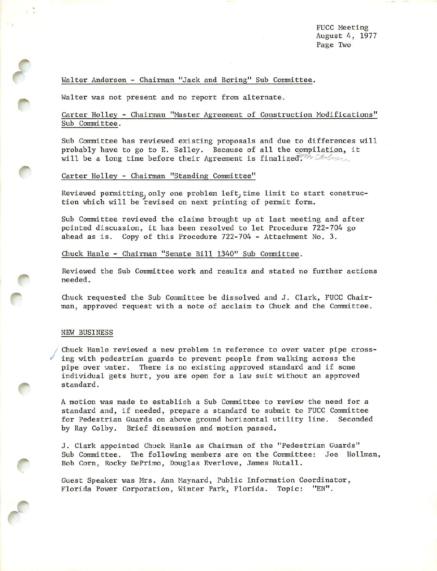# Walter Anderson - Chairman "Jack and Boring" Sub Committee.

Walter was not present and no report from alternate.

# Garter Holley - Chairman "Master Agreement of Construction Modifications" Sub Committee.

Sub Committee has reviewed existing proposals and due to differences will probably have to go to E. Salley. Because of all the compilation, it will be a long time before their Agreement is finalized." $W$  the form

### Carter Holley - Chairman "Standing Committee"

Reviewed permitting, only one problem left, time limit to start construction which will be revised on next printing of permit form.

Sub Committee reviewed the claims brought up at last meeting and after pointed discussion, it has been resolved to let Procedure 722-704 go ahead as is. Copy of this Procedure 722-704 - Attachment No. 3.

Chuck Hanle - Chairman "Senate Bill 1340" Sub Committee.

Reviewed the Sub Committee work and results and stated no further actions needed.

Chuck requested the Sub Committee be dissolved and J. Clark, FUCC Chair man, approved request with a note of acclaim to Chuck and the Committee.

#### NEW BUSINESS

 $\sqrt{2}$ 

f

**r** 

Chuck Hanle reviewed a new problem in reference to over water pipe cross ing with pedestrian guards to prevent people from walking across the pipe over water. There is no existing approved standard and if some individual gets hurt, you are open for a law suit without an approved standard.

A motion was made to establish a Sub Committee to review the need for a standard and, if needed, prepare a standard to submit to FUCC Committee for Pedestrian Guards on above ground horizontal utility line. Seconded by Ray Colby. Brief discussion and motion passed.

J. Clark appointed Chuck Hanle as Chairman of the "Pedestrian Guards" Sub Committee. The following members are on the Committee: Joe Hollman, Bob Corn, Rocky DePrimo, Douglas Everlove, James Nutall.

Guest Speaker was Mrs. Ann Maynard, Public Information Coordinator, Florida Power Corporation, Winter Park, Florida. Topic; "EN".